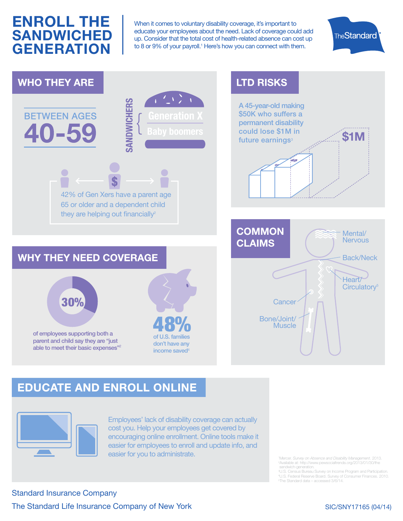## **ENROLL THE SANDWICHED GENERATION**

When it comes to voluntary disability coverage, it's important to educate your employees about the need. Lack of coverage could add up. Consider that the total cost of health-related absence can cost up to 8 or 9% of your payroll.<sup>1</sup> Here's how you can connect with them.





## **EDUCATE AND ENROLL ONLINE**



Employees' lack of disability coverage can actually cost you. Help your employees get covered by encouraging online enrollment. Online tools make it easier for employees to enroll and update info, and easier for you to administrate.

Mercer. Survey on Absence and Disability Management. 2013. Available at: http://www.pewsocialtrends.org/2013/01/30/the sandwich-generation.

3 U.S. Census Bureau Survey on Income Program and Participation. 4 U.S. Federal Reserve Board. Survey of Consumer Finances. 2010. 5 The Standard data – accessed 3/6/14.

Standard Insurance Company The Standard Life Insurance Company of New York

## SIC/SNY17165 (04/14)